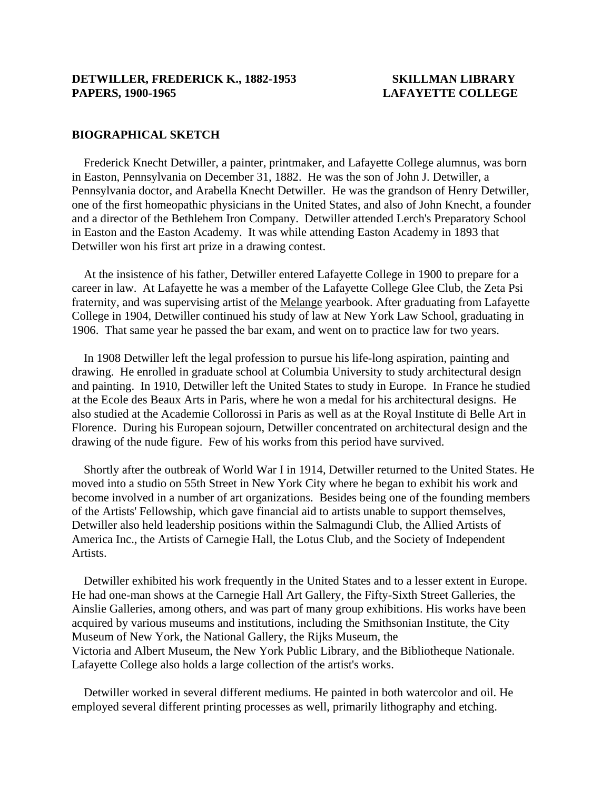#### **BIOGRAPHICAL SKETCH**

 Frederick Knecht Detwiller, a painter, printmaker, and Lafayette College alumnus, was born in Easton, Pennsylvania on December 31, 1882. He was the son of John J. Detwiller, a Pennsylvania doctor, and Arabella Knecht Detwiller. He was the grandson of Henry Detwiller, one of the first homeopathic physicians in the United States, and also of John Knecht, a founder and a director of the Bethlehem Iron Company. Detwiller attended Lerch's Preparatory School in Easton and the Easton Academy. It was while attending Easton Academy in 1893 that Detwiller won his first art prize in a drawing contest.

 At the insistence of his father, Detwiller entered Lafayette College in 1900 to prepare for a career in law. At Lafayette he was a member of the Lafayette College Glee Club, the Zeta Psi fraternity, and was supervising artist of the Melange yearbook. After graduating from Lafayette College in 1904, Detwiller continued his study of law at New York Law School, graduating in 1906. That same year he passed the bar exam, and went on to practice law for two years.

 In 1908 Detwiller left the legal profession to pursue his life-long aspiration, painting and drawing. He enrolled in graduate school at Columbia University to study architectural design and painting. In 1910, Detwiller left the United States to study in Europe. In France he studied at the Ecole des Beaux Arts in Paris, where he won a medal for his architectural designs. He also studied at the Academie Collorossi in Paris as well as at the Royal Institute di Belle Art in Florence. During his European sojourn, Detwiller concentrated on architectural design and the drawing of the nude figure. Few of his works from this period have survived.

 Shortly after the outbreak of World War I in 1914, Detwiller returned to the United States. He moved into a studio on 55th Street in New York City where he began to exhibit his work and become involved in a number of art organizations. Besides being one of the founding members of the Artists' Fellowship, which gave financial aid to artists unable to support themselves, Detwiller also held leadership positions within the Salmagundi Club, the Allied Artists of America Inc., the Artists of Carnegie Hall, the Lotus Club, and the Society of Independent Artists.

 Detwiller exhibited his work frequently in the United States and to a lesser extent in Europe. He had one-man shows at the Carnegie Hall Art Gallery, the Fifty-Sixth Street Galleries, the Ainslie Galleries, among others, and was part of many group exhibitions. His works have been acquired by various museums and institutions, including the Smithsonian Institute, the City Museum of New York, the National Gallery, the Rijks Museum, the Victoria and Albert Museum, the New York Public Library, and the Bibliotheque Nationale. Lafayette College also holds a large collection of the artist's works.

 Detwiller worked in several different mediums. He painted in both watercolor and oil. He employed several different printing processes as well, primarily lithography and etching.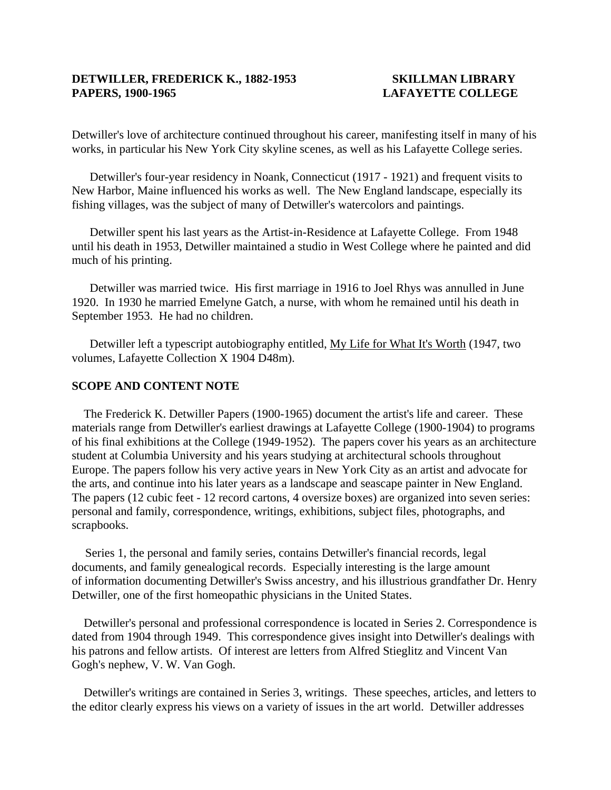Detwiller's love of architecture continued throughout his career, manifesting itself in many of his works, in particular his New York City skyline scenes, as well as his Lafayette College series.

Detwiller's four-year residency in Noank, Connecticut (1917 - 1921) and frequent visits to New Harbor, Maine influenced his works as well. The New England landscape, especially its fishing villages, was the subject of many of Detwiller's watercolors and paintings.

Detwiller spent his last years as the Artist-in-Residence at Lafayette College. From 1948 until his death in 1953, Detwiller maintained a studio in West College where he painted and did much of his printing.

Detwiller was married twice. His first marriage in 1916 to Joel Rhys was annulled in June 1920. In 1930 he married Emelyne Gatch, a nurse, with whom he remained until his death in September 1953. He had no children.

Detwiller left a typescript autobiography entitled, My Life for What It's Worth (1947, two volumes, Lafayette Collection X 1904 D48m).

#### **SCOPE AND CONTENT NOTE**

 The Frederick K. Detwiller Papers (1900-1965) document the artist's life and career. These materials range from Detwiller's earliest drawings at Lafayette College (1900-1904) to programs of his final exhibitions at the College (1949-1952). The papers cover his years as an architecture student at Columbia University and his years studying at architectural schools throughout Europe. The papers follow his very active years in New York City as an artist and advocate for the arts, and continue into his later years as a landscape and seascape painter in New England. The papers (12 cubic feet - 12 record cartons, 4 oversize boxes) are organized into seven series: personal and family, correspondence, writings, exhibitions, subject files, photographs, and scrapbooks.

Series 1, the personal and family series, contains Detwiller's financial records, legal documents, and family genealogical records. Especially interesting is the large amount of information documenting Detwiller's Swiss ancestry, and his illustrious grandfather Dr. Henry Detwiller, one of the first homeopathic physicians in the United States.

 Detwiller's personal and professional correspondence is located in Series 2. Correspondence is dated from 1904 through 1949. This correspondence gives insight into Detwiller's dealings with his patrons and fellow artists. Of interest are letters from Alfred Stieglitz and Vincent Van Gogh's nephew, V. W. Van Gogh.

 Detwiller's writings are contained in Series 3, writings. These speeches, articles, and letters to the editor clearly express his views on a variety of issues in the art world. Detwiller addresses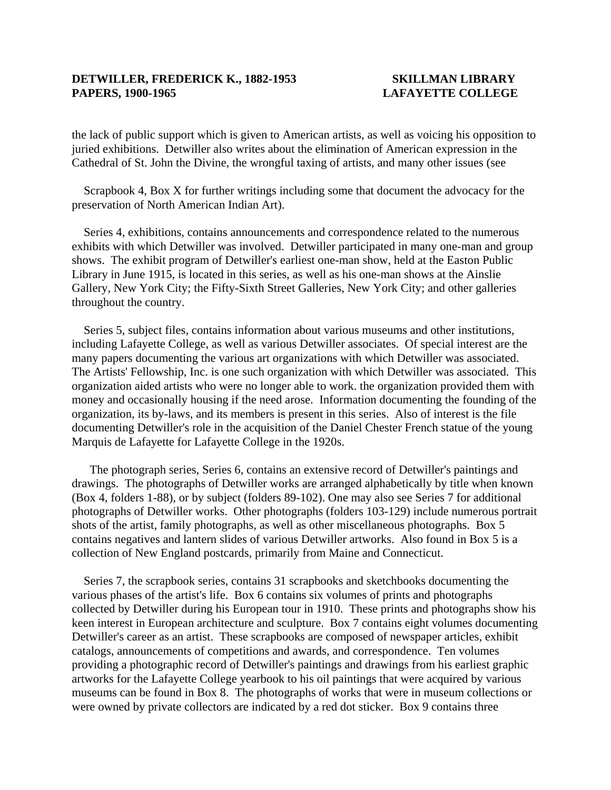the lack of public support which is given to American artists, as well as voicing his opposition to juried exhibitions. Detwiller also writes about the elimination of American expression in the Cathedral of St. John the Divine, the wrongful taxing of artists, and many other issues (see

 Scrapbook 4, Box X for further writings including some that document the advocacy for the preservation of North American Indian Art).

 Series 4, exhibitions, contains announcements and correspondence related to the numerous exhibits with which Detwiller was involved. Detwiller participated in many one-man and group shows. The exhibit program of Detwiller's earliest one-man show, held at the Easton Public Library in June 1915, is located in this series, as well as his one-man shows at the Ainslie Gallery, New York City; the Fifty-Sixth Street Galleries, New York City; and other galleries throughout the country.

 Series 5, subject files, contains information about various museums and other institutions, including Lafayette College, as well as various Detwiller associates. Of special interest are the many papers documenting the various art organizations with which Detwiller was associated. The Artists' Fellowship, Inc. is one such organization with which Detwiller was associated. This organization aided artists who were no longer able to work. the organization provided them with money and occasionally housing if the need arose. Information documenting the founding of the organization, its by-laws, and its members is present in this series. Also of interest is the file documenting Detwiller's role in the acquisition of the Daniel Chester French statue of the young Marquis de Lafayette for Lafayette College in the 1920s.

The photograph series, Series 6, contains an extensive record of Detwiller's paintings and drawings. The photographs of Detwiller works are arranged alphabetically by title when known (Box 4, folders 1-88), or by subject (folders 89-102). One may also see Series 7 for additional photographs of Detwiller works. Other photographs (folders 103-129) include numerous portrait shots of the artist, family photographs, as well as other miscellaneous photographs. Box 5 contains negatives and lantern slides of various Detwiller artworks. Also found in Box 5 is a collection of New England postcards, primarily from Maine and Connecticut.

 Series 7, the scrapbook series, contains 31 scrapbooks and sketchbooks documenting the various phases of the artist's life. Box 6 contains six volumes of prints and photographs collected by Detwiller during his European tour in 1910. These prints and photographs show his keen interest in European architecture and sculpture. Box 7 contains eight volumes documenting Detwiller's career as an artist. These scrapbooks are composed of newspaper articles, exhibit catalogs, announcements of competitions and awards, and correspondence. Ten volumes providing a photographic record of Detwiller's paintings and drawings from his earliest graphic artworks for the Lafayette College yearbook to his oil paintings that were acquired by various museums can be found in Box 8. The photographs of works that were in museum collections or were owned by private collectors are indicated by a red dot sticker. Box 9 contains three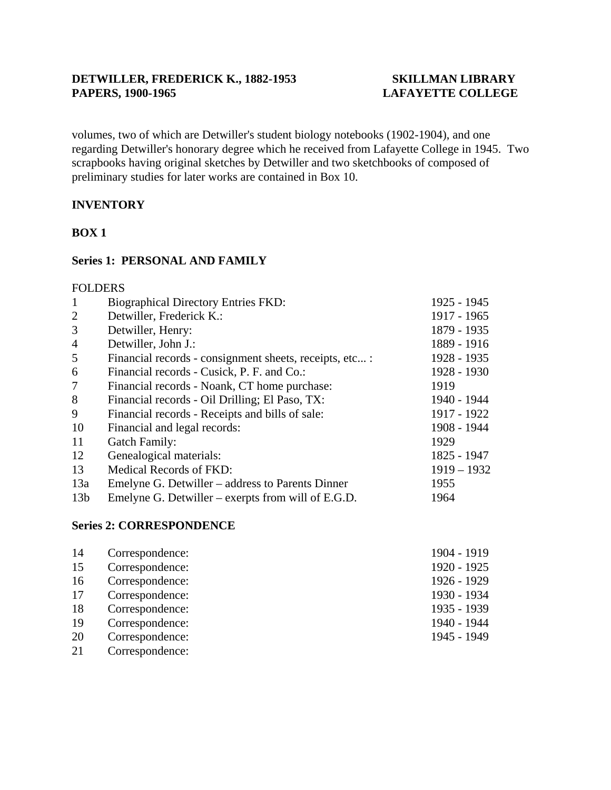volumes, two of which are Detwiller's student biology notebooks (1902-1904), and one regarding Detwiller's honorary degree which he received from Lafayette College in 1945. Two scrapbooks having original sketches by Detwiller and two sketchbooks of composed of preliminary studies for later works are contained in Box 10.

# **INVENTORY**

### **BOX 1**

### **Series 1: PERSONAL AND FAMILY**

#### FOLDERS

| $\mathbf{1}$    | <b>Biographical Directory Entries FKD:</b>              | 1925 - 1945   |
|-----------------|---------------------------------------------------------|---------------|
| 2               | Detwiller, Frederick K.:                                | 1917 - 1965   |
| 3               | Detwiller, Henry:                                       | 1879 - 1935   |
| $\overline{4}$  | Detwiller, John J.:                                     | 1889 - 1916   |
| 5               | Financial records - consignment sheets, receipts, etc : | 1928 - 1935   |
| 6               | Financial records - Cusick, P. F. and Co.:              | 1928 - 1930   |
| 7               | Financial records - Noank, CT home purchase:            | 1919          |
| 8               | Financial records - Oil Drilling; El Paso, TX:          | 1940 - 1944   |
| 9               | Financial records - Receipts and bills of sale:         | 1917 - 1922   |
| 10              | Financial and legal records:                            | 1908 - 1944   |
| 11              | <b>Gatch Family:</b>                                    | 1929          |
| 12              | Genealogical materials:                                 | 1825 - 1947   |
| 13              | <b>Medical Records of FKD:</b>                          | $1919 - 1932$ |
| 13a             | Emelyne G. Detwiller – address to Parents Dinner        | 1955          |
| 13 <sub>b</sub> | Emelyne G. Detwiller – exerpts from will of $E.G.D.$    | 1964          |

#### **Series 2: CORRESPONDENCE**

| 14 | Correspondence: | 1904 - 1919 |
|----|-----------------|-------------|
| 15 | Correspondence: | 1920 - 1925 |
| 16 | Correspondence: | 1926 - 1929 |
| 17 | Correspondence: | 1930 - 1934 |
| 18 | Correspondence: | 1935 - 1939 |
| 19 | Correspondence: | 1940 - 1944 |
| 20 | Correspondence: | 1945 - 1949 |
| 21 | Correspondence: |             |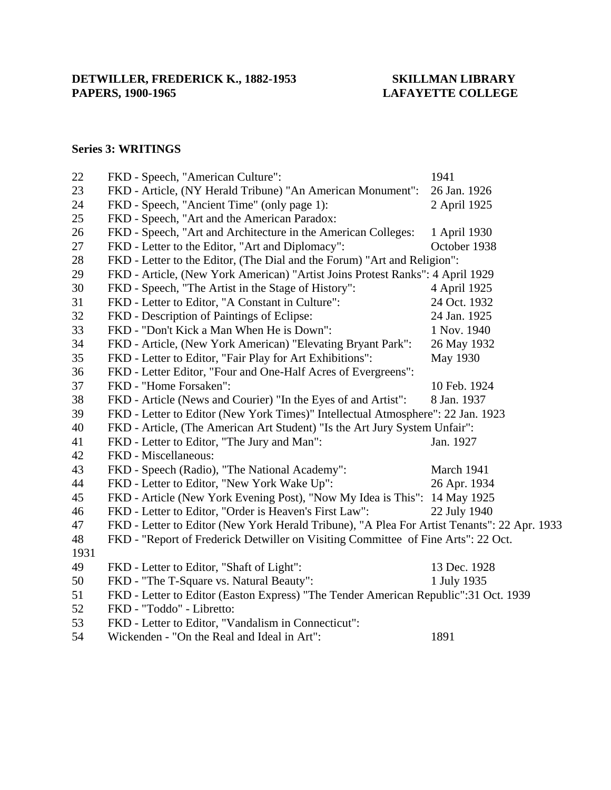# **LAFAYETTE COLLEGE**

### **Series 3: WRITINGS**

| 22   | FKD - Speech, "American Culture":                                                           | 1941         |
|------|---------------------------------------------------------------------------------------------|--------------|
| 23   | FKD - Article, (NY Herald Tribune) "An American Monument":                                  | 26 Jan. 1926 |
| 24   | FKD - Speech, "Ancient Time" (only page 1):                                                 | 2 April 1925 |
| 25   | FKD - Speech, "Art and the American Paradox:                                                |              |
| 26   | FKD - Speech, "Art and Architecture in the American Colleges:                               | 1 April 1930 |
| 27   | FKD - Letter to the Editor, "Art and Diplomacy":                                            | October 1938 |
| 28   | FKD - Letter to the Editor, (The Dial and the Forum) "Art and Religion":                    |              |
| 29   | FKD - Article, (New York American) "Artist Joins Protest Ranks": 4 April 1929               |              |
| 30   | FKD - Speech, "The Artist in the Stage of History":                                         | 4 April 1925 |
| 31   | FKD - Letter to Editor, "A Constant in Culture":                                            | 24 Oct. 1932 |
| 32   | FKD - Description of Paintings of Eclipse:                                                  | 24 Jan. 1925 |
| 33   | FKD - "Don't Kick a Man When He is Down":                                                   | 1 Nov. 1940  |
| 34   | FKD - Article, (New York American) "Elevating Bryant Park":                                 | 26 May 1932  |
| 35   | FKD - Letter to Editor, "Fair Play for Art Exhibitions":                                    | May 1930     |
| 36   | FKD - Letter Editor, "Four and One-Half Acres of Evergreens":                               |              |
| 37   | FKD - "Home Forsaken":                                                                      | 10 Feb. 1924 |
| 38   | FKD - Article (News and Courier) "In the Eyes of and Artist":                               | 8 Jan. 1937  |
| 39   | FKD - Letter to Editor (New York Times)" Intellectual Atmosphere": 22 Jan. 1923             |              |
| 40   | FKD - Article, (The American Art Student) "Is the Art Jury System Unfair":                  |              |
| 41   | FKD - Letter to Editor, "The Jury and Man":                                                 | Jan. 1927    |
| 42   | FKD - Miscellaneous:                                                                        |              |
| 43   | FKD - Speech (Radio), "The National Academy":                                               | March 1941   |
| 44   | FKD - Letter to Editor, "New York Wake Up":                                                 | 26 Apr. 1934 |
| 45   | FKD - Article (New York Evening Post), "Now My Idea is This": 14 May 1925                   |              |
| 46   | FKD - Letter to Editor, "Order is Heaven's First Law":                                      | 22 July 1940 |
| 47   | FKD - Letter to Editor (New York Herald Tribune), "A Plea For Artist Tenants": 22 Apr. 1933 |              |
| 48   | FKD - "Report of Frederick Detwiller on Visiting Committee of Fine Arts": 22 Oct.           |              |
| 1931 |                                                                                             |              |
| 49   | FKD - Letter to Editor, "Shaft of Light":                                                   | 13 Dec. 1928 |
| 50   | FKD - "The T-Square vs. Natural Beauty":                                                    | 1 July 1935  |
| 51   | FKD - Letter to Editor (Easton Express) "The Tender American Republic":31 Oct. 1939         |              |
| 52   | FKD - "Toddo" - Libretto:                                                                   |              |
| 53   | FKD - Letter to Editor, "Vandalism in Connecticut":                                         |              |
| 54   | Wickenden - "On the Real and Ideal in Art":                                                 | 1891         |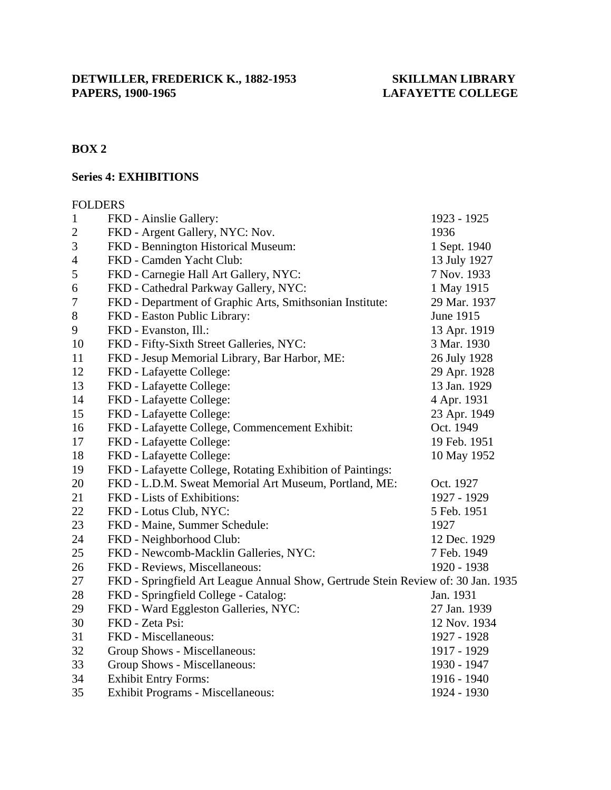# **BOX 2**

# **Series 4: EXHIBITIONS**

#### FOLDERS

| $\mathbf{1}$   | FKD - Ainslie Gallery:                                                           | 1923 - 1925  |
|----------------|----------------------------------------------------------------------------------|--------------|
| $\overline{c}$ | FKD - Argent Gallery, NYC: Nov.                                                  | 1936         |
| $\mathfrak{Z}$ | FKD - Bennington Historical Museum:                                              | 1 Sept. 1940 |
| $\overline{4}$ | FKD - Camden Yacht Club:                                                         | 13 July 1927 |
| 5              | FKD - Carnegie Hall Art Gallery, NYC:                                            | 7 Nov. 1933  |
| 6              | FKD - Cathedral Parkway Gallery, NYC:                                            | 1 May 1915   |
| 7              | FKD - Department of Graphic Arts, Smithsonian Institute:                         | 29 Mar. 1937 |
| 8              | FKD - Easton Public Library:                                                     | June 1915    |
| 9              | FKD - Evanston, Ill.:                                                            | 13 Apr. 1919 |
| 10             | FKD - Fifty-Sixth Street Galleries, NYC:                                         | 3 Mar. 1930  |
| 11             | FKD - Jesup Memorial Library, Bar Harbor, ME:                                    | 26 July 1928 |
| 12             | FKD - Lafayette College:                                                         | 29 Apr. 1928 |
| 13             | FKD - Lafayette College:                                                         | 13 Jan. 1929 |
| 14             | FKD - Lafayette College:                                                         | 4 Apr. 1931  |
| 15             | FKD - Lafayette College:                                                         | 23 Apr. 1949 |
| 16             | FKD - Lafayette College, Commencement Exhibit:                                   | Oct. 1949    |
| 17             | FKD - Lafayette College:                                                         | 19 Feb. 1951 |
| 18             | FKD - Lafayette College:                                                         | 10 May 1952  |
| 19             | FKD - Lafayette College, Rotating Exhibition of Paintings:                       |              |
| 20             | FKD - L.D.M. Sweat Memorial Art Museum, Portland, ME:                            | Oct. 1927    |
| 21             | FKD - Lists of Exhibitions:                                                      | 1927 - 1929  |
| 22             | FKD - Lotus Club, NYC:                                                           | 5 Feb. 1951  |
| 23             | FKD - Maine, Summer Schedule:                                                    | 1927         |
| 24             | FKD - Neighborhood Club:                                                         | 12 Dec. 1929 |
| 25             | FKD - Newcomb-Macklin Galleries, NYC:                                            | 7 Feb. 1949  |
| 26             | FKD - Reviews, Miscellaneous:                                                    | 1920 - 1938  |
| 27             | FKD - Springfield Art League Annual Show, Gertrude Stein Review of: 30 Jan. 1935 |              |
| 28             | FKD - Springfield College - Catalog:                                             | Jan. 1931    |
| 29             | FKD - Ward Eggleston Galleries, NYC:                                             | 27 Jan. 1939 |
| 30             | FKD - Zeta Psi:                                                                  | 12 Nov. 1934 |
| 31             | FKD - Miscellaneous:                                                             | 1927 - 1928  |
| 32             | Group Shows - Miscellaneous:                                                     | 1917 - 1929  |
| 33             | Group Shows - Miscellaneous:                                                     | 1930 - 1947  |
| 34             | <b>Exhibit Entry Forms:</b>                                                      | 1916 - 1940  |
| 35             | Exhibit Programs - Miscellaneous:                                                | 1924 - 1930  |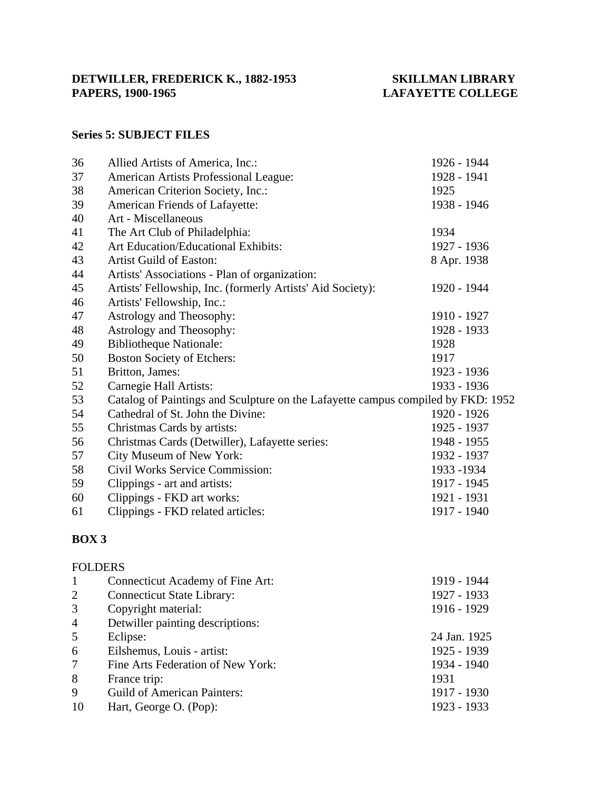# **LAFAYETTE COLLEGE**

# **Series 5: SUBJECT FILES**

| 36 | Allied Artists of America, Inc.:                                                 | 1926 - 1944 |
|----|----------------------------------------------------------------------------------|-------------|
| 37 | American Artists Professional League:                                            | 1928 - 1941 |
| 38 | American Criterion Society, Inc.:                                                | 1925        |
| 39 | American Friends of Lafayette:                                                   | 1938 - 1946 |
| 40 | Art - Miscellaneous                                                              |             |
| 41 | The Art Club of Philadelphia:                                                    | 1934        |
| 42 | Art Education/Educational Exhibits:                                              | 1927 - 1936 |
| 43 | Artist Guild of Easton:                                                          | 8 Apr. 1938 |
| 44 | Artists' Associations - Plan of organization:                                    |             |
| 45 | Artists' Fellowship, Inc. (formerly Artists' Aid Society):                       | 1920 - 1944 |
| 46 | Artists' Fellowship, Inc.:                                                       |             |
| 47 | Astrology and Theosophy:                                                         | 1910 - 1927 |
| 48 | Astrology and Theosophy:                                                         | 1928 - 1933 |
| 49 | <b>Bibliotheque Nationale:</b>                                                   | 1928        |
| 50 | <b>Boston Society of Etchers:</b>                                                | 1917        |
| 51 | Britton, James:                                                                  | 1923 - 1936 |
| 52 | Carnegie Hall Artists:                                                           | 1933 - 1936 |
| 53 | Catalog of Paintings and Sculpture on the Lafayette campus compiled by FKD: 1952 |             |
| 54 | Cathedral of St. John the Divine:                                                | 1920 - 1926 |
| 55 | Christmas Cards by artists:                                                      | 1925 - 1937 |
| 56 | Christmas Cards (Detwiller), Lafayette series:                                   | 1948 - 1955 |
| 57 | City Museum of New York:                                                         | 1932 - 1937 |
| 58 | Civil Works Service Commission:                                                  | 1933 - 1934 |
| 59 | Clippings - art and artists:                                                     | 1917 - 1945 |
| 60 | Clippings - FKD art works:                                                       | 1921 - 1931 |
| 61 | Clippings - FKD related articles:                                                | 1917 - 1940 |

# **BOX 3**

|                | <b>FOLDERS</b>                     |              |
|----------------|------------------------------------|--------------|
| -1             | Connecticut Academy of Fine Art:   | 1919 - 1944  |
| 2              | <b>Connecticut State Library:</b>  | 1927 - 1933  |
| 3              | Copyright material:                | 1916 - 1929  |
| $\overline{4}$ | Detwiller painting descriptions:   |              |
| 5              | Eclipse:                           | 24 Jan. 1925 |
| 6              | Eilshemus, Louis - artist:         | 1925 - 1939  |
| $\tau$         | Fine Arts Federation of New York:  | 1934 - 1940  |
| 8              | France trip:                       | 1931         |
| 9              | <b>Guild of American Painters:</b> | 1917 - 1930  |
| 10             | Hart, George O. (Pop):             | 1923 - 1933  |
|                |                                    |              |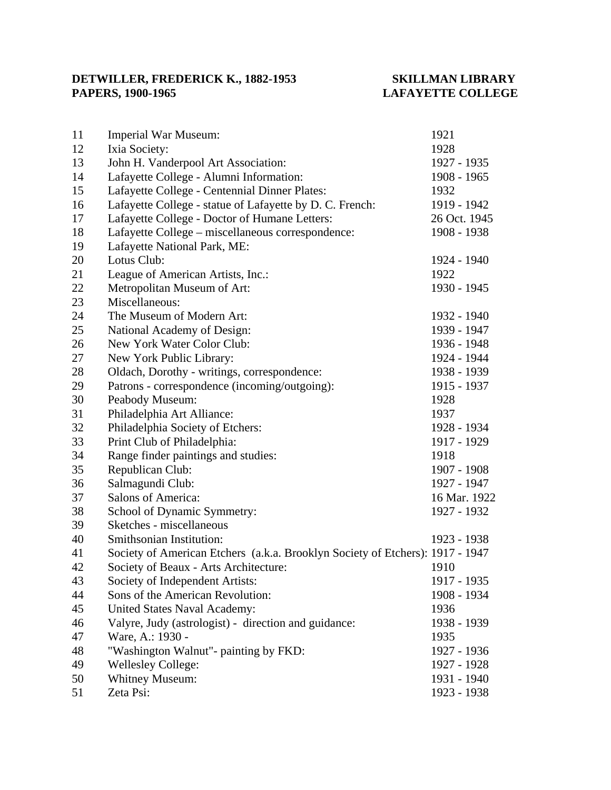# **LAFAYETTE COLLEGE**

| 11 | <b>Imperial War Museum:</b>                                                   | 1921         |
|----|-------------------------------------------------------------------------------|--------------|
| 12 | Ixia Society:                                                                 | 1928         |
| 13 | John H. Vanderpool Art Association:                                           | 1927 - 1935  |
| 14 | Lafayette College - Alumni Information:                                       | 1908 - 1965  |
| 15 | Lafayette College - Centennial Dinner Plates:                                 | 1932         |
| 16 | Lafayette College - statue of Lafayette by D. C. French:                      | 1919 - 1942  |
| 17 | Lafayette College - Doctor of Humane Letters:                                 | 26 Oct. 1945 |
| 18 | Lafayette College - miscellaneous correspondence:                             | 1908 - 1938  |
| 19 | Lafayette National Park, ME:                                                  |              |
| 20 | Lotus Club:                                                                   | 1924 - 1940  |
| 21 | League of American Artists, Inc.:                                             | 1922         |
| 22 | Metropolitan Museum of Art:                                                   | 1930 - 1945  |
| 23 | Miscellaneous:                                                                |              |
| 24 | The Museum of Modern Art:                                                     | 1932 - 1940  |
| 25 | National Academy of Design:                                                   | 1939 - 1947  |
| 26 | New York Water Color Club:                                                    | 1936 - 1948  |
| 27 | New York Public Library:                                                      | 1924 - 1944  |
| 28 | Oldach, Dorothy - writings, correspondence:                                   | 1938 - 1939  |
| 29 | Patrons - correspondence (incoming/outgoing):                                 | 1915 - 1937  |
| 30 | Peabody Museum:                                                               | 1928         |
| 31 | Philadelphia Art Alliance:                                                    | 1937         |
| 32 | Philadelphia Society of Etchers:                                              | 1928 - 1934  |
| 33 | Print Club of Philadelphia:                                                   | 1917 - 1929  |
| 34 | Range finder paintings and studies:                                           | 1918         |
| 35 | Republican Club:                                                              | 1907 - 1908  |
| 36 | Salmagundi Club:                                                              | 1927 - 1947  |
| 37 | Salons of America:                                                            | 16 Mar. 1922 |
| 38 | School of Dynamic Symmetry:                                                   | 1927 - 1932  |
| 39 | Sketches - miscellaneous                                                      |              |
| 40 | Smithsonian Institution:                                                      | 1923 - 1938  |
| 41 | Society of American Etchers (a.k.a. Brooklyn Society of Etchers): 1917 - 1947 |              |
| 42 | Society of Beaux - Arts Architecture:                                         | 1910         |
| 43 | Society of Independent Artists:                                               | 1917 - 1935  |
| 44 | Sons of the American Revolution:                                              | 1908 - 1934  |
| 45 | <b>United States Naval Academy:</b>                                           | 1936         |
| 46 | Valyre, Judy (astrologist) - direction and guidance:                          | 1938 - 1939  |
| 47 | Ware, A.: 1930 -                                                              | 1935         |
| 48 | "Washington Walnut"- painting by FKD:                                         | 1927 - 1936  |
| 49 | <b>Wellesley College:</b>                                                     | 1927 - 1928  |
| 50 | <b>Whitney Museum:</b>                                                        | 1931 - 1940  |
| 51 | Zeta Psi:                                                                     | 1923 - 1938  |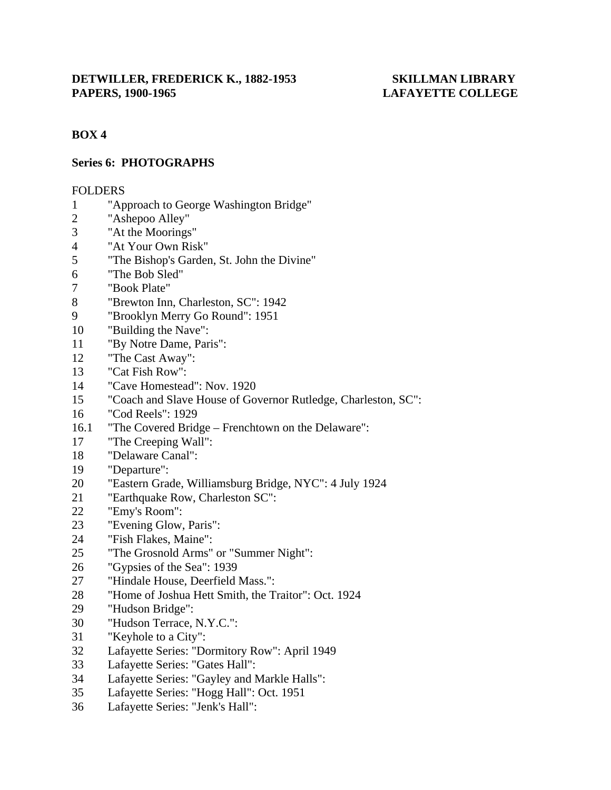# **BOX 4**

# **Series 6: PHOTOGRAPHS**

#### FOLDERS

- 1 "Approach to George Washington Bridge"
- 2 "Ashepoo Alley"
- 3 "At the Moorings"
- 4 "At Your Own Risk"
- 5 "The Bishop's Garden, St. John the Divine"
- 6 "The Bob Sled"
- 7 "Book Plate"
- 8 "Brewton Inn, Charleston, SC": 1942
- 9 "Brooklyn Merry Go Round": 1951
- 10 "Building the Nave":
- 11 "By Notre Dame, Paris":
- 12 "The Cast Away":
- 13 "Cat Fish Row":
- 14 "Cave Homestead": Nov. 1920
- 15 "Coach and Slave House of Governor Rutledge, Charleston, SC":
- 16 "Cod Reels": 1929
- 16.1 "The Covered Bridge Frenchtown on the Delaware":
- 17 "The Creeping Wall":
- 18 "Delaware Canal":
- 19 "Departure":
- 20 "Eastern Grade, Williamsburg Bridge, NYC": 4 July 1924
- 21 "Earthquake Row, Charleston SC":
- 22 "Emy's Room":
- 23 "Evening Glow, Paris":
- 24 "Fish Flakes, Maine":
- 25 "The Grosnold Arms" or "Summer Night":
- 26 "Gypsies of the Sea": 1939
- 27 "Hindale House, Deerfield Mass.":
- 28 "Home of Joshua Hett Smith, the Traitor": Oct. 1924
- 29 "Hudson Bridge":
- 30 "Hudson Terrace, N.Y.C.":
- 31 "Keyhole to a City":
- 32 Lafayette Series: "Dormitory Row": April 1949
- 33 Lafayette Series: "Gates Hall":
- 34 Lafayette Series: "Gayley and Markle Halls":
- 35 Lafayette Series: "Hogg Hall": Oct. 1951
- 36 Lafayette Series: "Jenk's Hall":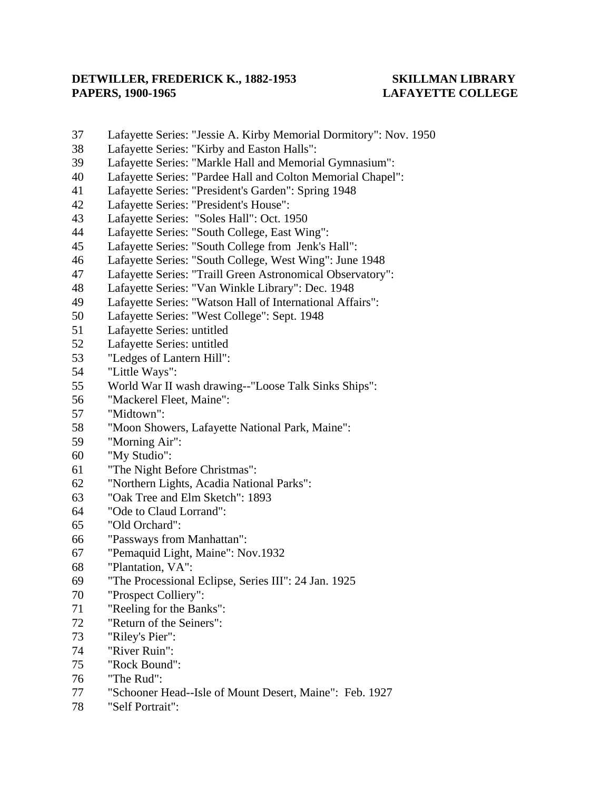- 37 Lafayette Series: "Jessie A. Kirby Memorial Dormitory": Nov. 1950
- 38 Lafayette Series: "Kirby and Easton Halls":
- 39 Lafayette Series: "Markle Hall and Memorial Gymnasium":
- 40 Lafayette Series: "Pardee Hall and Colton Memorial Chapel":
- 41 Lafayette Series: "President's Garden": Spring 1948
- 42 Lafayette Series: "President's House":
- 43 Lafayette Series: "Soles Hall": Oct. 1950
- 44 Lafayette Series: "South College, East Wing":
- 45 Lafayette Series: "South College from Jenk's Hall":
- 46 Lafayette Series: "South College, West Wing": June 1948
- 47 Lafayette Series: "Traill Green Astronomical Observatory":
- 48 Lafayette Series: "Van Winkle Library": Dec. 1948
- 49 Lafayette Series: "Watson Hall of International Affairs":
- 50 Lafayette Series: "West College": Sept. 1948
- 51 Lafayette Series: untitled
- 52 Lafayette Series: untitled
- 53 "Ledges of Lantern Hill":
- 54 "Little Ways":
- 55 World War II wash drawing--"Loose Talk Sinks Ships":
- 56 "Mackerel Fleet, Maine":
- 57 "Midtown":
- 58 "Moon Showers, Lafayette National Park, Maine":
- 59 "Morning Air":
- 60 "My Studio":
- 61 "The Night Before Christmas":
- 62 "Northern Lights, Acadia National Parks":
- 63 "Oak Tree and Elm Sketch": 1893
- 64 "Ode to Claud Lorrand":
- 65 "Old Orchard":
- 66 "Passways from Manhattan":
- 67 "Pemaquid Light, Maine": Nov.1932
- 68 "Plantation, VA":
- 69 "The Processional Eclipse, Series III": 24 Jan. 1925
- 70 "Prospect Colliery":
- 71 "Reeling for the Banks":
- 72 "Return of the Seiners":
- 73 "Riley's Pier":
- 74 "River Ruin":
- 75 "Rock Bound":
- 76 "The Rud":
- 77 "Schooner Head--Isle of Mount Desert, Maine": Feb. 1927
- 78 "Self Portrait":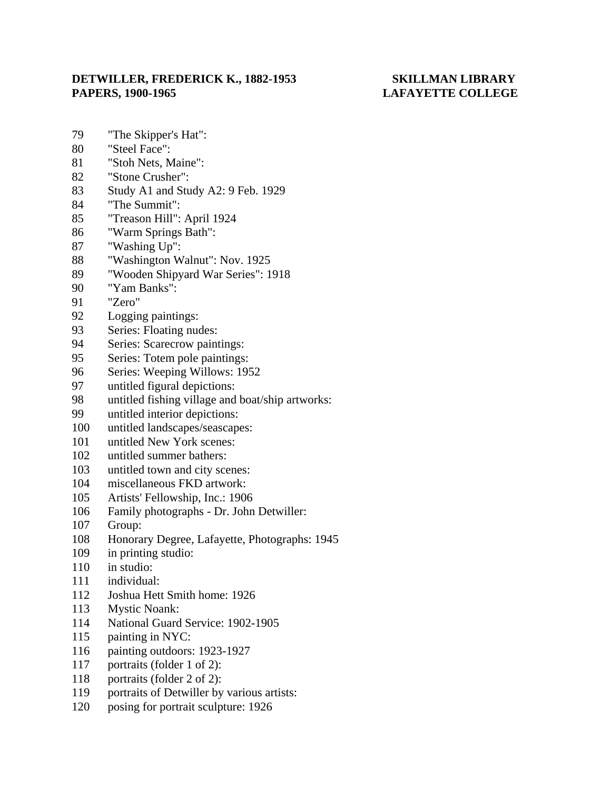- 79 "The Skipper's Hat":
- 80 "Steel Face":
- 81 "Stoh Nets, Maine":
- 82 "Stone Crusher":
- 83 Study A1 and Study A2: 9 Feb. 1929
- 84 "The Summit":
- 85 "Treason Hill": April 1924
- 86 "Warm Springs Bath":
- 87 "Washing Up":
- 88 "Washington Walnut": Nov. 1925
- 89 "Wooden Shipyard War Series": 1918
- 90 "Yam Banks":
- 91 "Zero"
- 92 Logging paintings:
- 93 Series: Floating nudes:
- 94 Series: Scarecrow paintings:
- 95 Series: Totem pole paintings:
- 96 Series: Weeping Willows: 1952
- 97 untitled figural depictions:
- 98 untitled fishing village and boat/ship artworks:
- 99 untitled interior depictions:
- 100 untitled landscapes/seascapes:
- 101 untitled New York scenes:
- 102 untitled summer bathers:
- 103 untitled town and city scenes:
- 104 miscellaneous FKD artwork:
- 105 Artists' Fellowship, Inc.: 1906
- 106 Family photographs Dr. John Detwiller:
- 107 Group:
- 108 Honorary Degree, Lafayette, Photographs: 1945
- 109 in printing studio:
- 110 in studio:
- 111 individual:
- 112 Joshua Hett Smith home: 1926
- 113 Mystic Noank:
- 114 National Guard Service: 1902-1905
- 115 painting in NYC:
- 116 painting outdoors: 1923-1927
- 117 portraits (folder 1 of 2):
- 118 portraits (folder 2 of 2):
- 119 portraits of Detwiller by various artists:
- 120 posing for portrait sculpture: 1926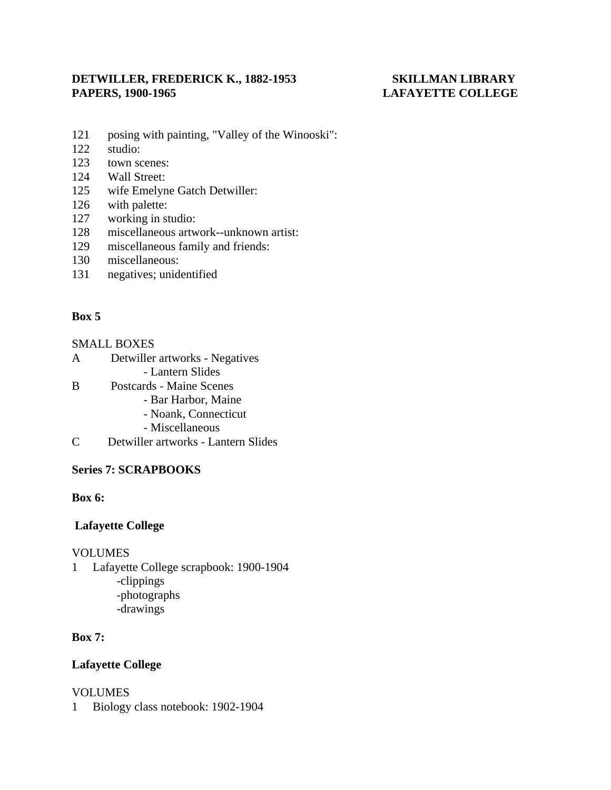- 121 posing with painting, "Valley of the Winooski":
- 122 studio:
- 123 town scenes:
- 124 Wall Street:
- 125 wife Emelyne Gatch Detwiller:
- 126 with palette:
- 127 working in studio:
- 128 miscellaneous artwork--unknown artist:
- 129 miscellaneous family and friends:
- 130 miscellaneous:
- 131 negatives; unidentified

# **Box 5**

### SMALL BOXES

- A Detwiller artworks Negatives
	- Lantern Slides
- B Postcards Maine Scenes
	- Bar Harbor, Maine
	- Noank, Connecticut
	- Miscellaneous
- C Detwiller artworks Lantern Slides

# **Series 7: SCRAPBOOKS**

# **Box 6:**

# **Lafayette College**

#### VOLUMES

1 Lafayette College scrapbook: 1900-1904 -clippings -photographs -drawings

# **Box 7:**

# **Lafayette College**

# VOLUMES

1 Biology class notebook: 1902-1904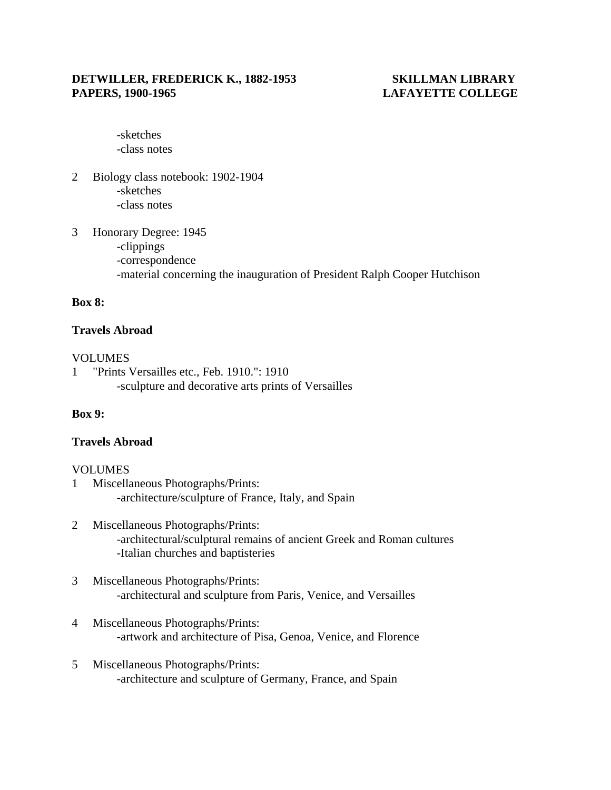-sketches -class notes

- 2 Biology class notebook: 1902-1904 -sketches -class notes
- 3 Honorary Degree: 1945 -clippings -correspondence -material concerning the inauguration of President Ralph Cooper Hutchison

#### **Box 8:**

#### **Travels Abroad**

#### VOLUMES

1 "Prints Versailles etc., Feb. 1910.": 1910 -sculpture and decorative arts prints of Versailles

#### **Box 9:**

#### **Travels Abroad**

#### VOLUMES

- 1 Miscellaneous Photographs/Prints: -architecture/sculpture of France, Italy, and Spain
- 2 Miscellaneous Photographs/Prints: -architectural/sculptural remains of ancient Greek and Roman cultures -Italian churches and baptisteries
- 3 Miscellaneous Photographs/Prints: -architectural and sculpture from Paris, Venice, and Versailles
- 4 Miscellaneous Photographs/Prints: -artwork and architecture of Pisa, Genoa, Venice, and Florence
- 5 Miscellaneous Photographs/Prints: -architecture and sculpture of Germany, France, and Spain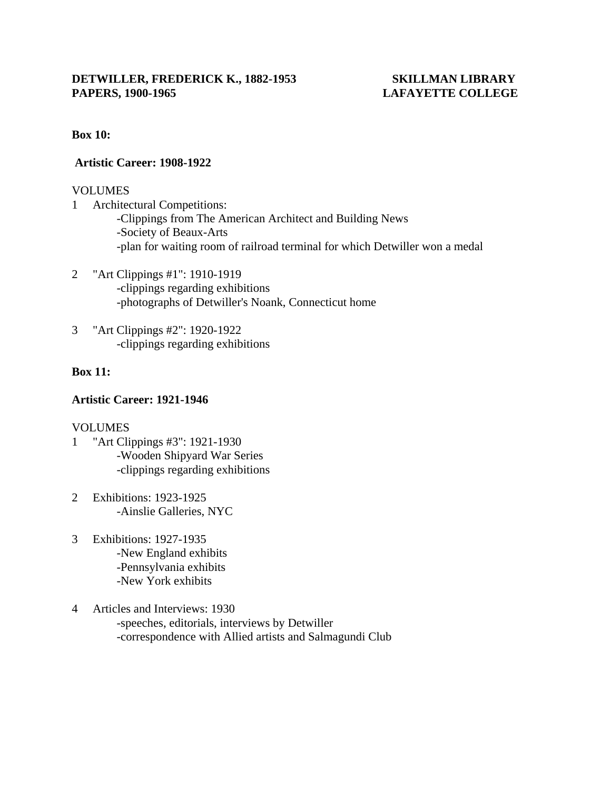#### **Box 10:**

#### **Artistic Career: 1908-1922**

### VOLUMES

- 1 Architectural Competitions: -Clippings from The American Architect and Building News -Society of Beaux-Arts -plan for waiting room of railroad terminal for which Detwiller won a medal
- 2 "Art Clippings #1": 1910-1919 -clippings regarding exhibitions -photographs of Detwiller's Noank, Connecticut home
- 3 "Art Clippings #2": 1920-1922 -clippings regarding exhibitions

# **Box 11:**

### **Artistic Career: 1921-1946**

# VOLUMES

- 1 "Art Clippings #3": 1921-1930 -Wooden Shipyard War Series -clippings regarding exhibitions
- 2 Exhibitions: 1923-1925 -Ainslie Galleries, NYC
- 3 Exhibitions: 1927-1935 -New England exhibits -Pennsylvania exhibits -New York exhibits
- 4 Articles and Interviews: 1930 -speeches, editorials, interviews by Detwiller -correspondence with Allied artists and Salmagundi Club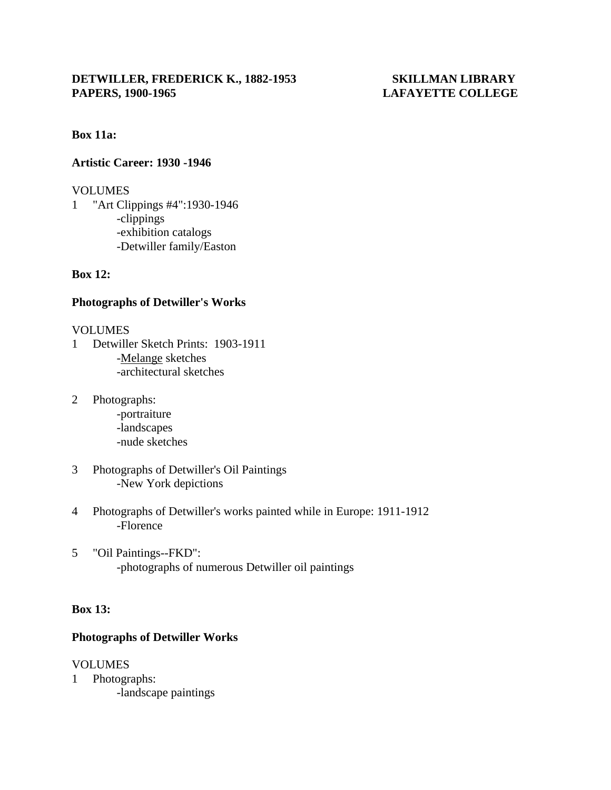#### **Box 11a:**

#### **Artistic Career: 1930 -1946**

#### VOLUMES

1 "Art Clippings #4":1930-1946 -clippings -exhibition catalogs -Detwiller family/Easton

### **Box 12:**

### **Photographs of Detwiller's Works**

#### VOLUMES

- 1 Detwiller Sketch Prints: 1903-1911 -Melange sketches -architectural sketches
- 2 Photographs:
	- -portraiture -landscapes -nude sketches
- 3 Photographs of Detwiller's Oil Paintings -New York depictions
- 4 Photographs of Detwiller's works painted while in Europe: 1911-1912 -Florence
- 5 "Oil Paintings--FKD": -photographs of numerous Detwiller oil paintings

#### **Box 13:**

# **Photographs of Detwiller Works**

#### VOLUMES

1 Photographs: -landscape paintings